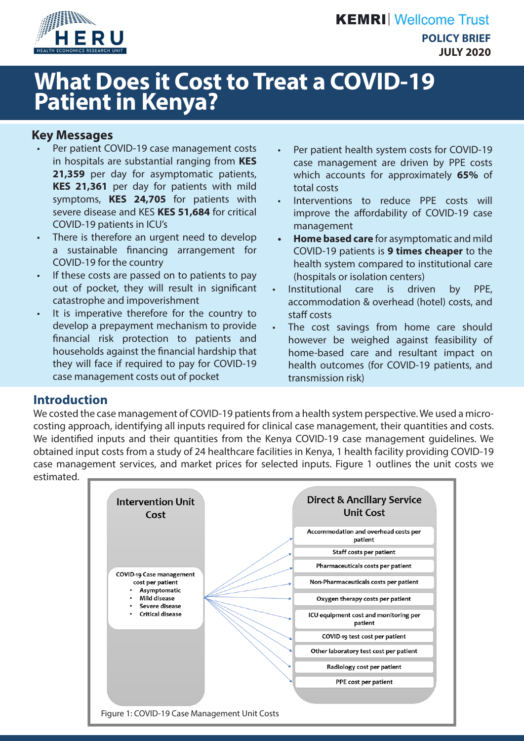

# **What Does it Cost to Treat a COVID-19 Patient in Kenya?**

## **Key Messages**

- Per patient COVID-19 case management costs in hospitals are substantial ranging from **KES**  21,359 per day for asymptomatic patients, **KES 21,361** per day for patients with mild symptoms, **KES 24,705** for patients with severe disease and KES **KES 51,684** for critical COVID-19 patients in ICU's
- There is therefore an urgent need to develop a sustainable financing arrangement for COVID-19 for the country
- If these costs are passed on to patients to pay out of pocket, they will result in significant catastrophe and impoverishment
- It is imperative therefore for the country to develop a prepayment mechanism to provide financial risk protection to patients and households against the financial hardship that they will face if required to pay for COVID-19 case management costs out of pocket
- Per patient health system costs for COVID-19 case management are driven by PPE costs which accounts for approximately **65%** of total costs
- Interventions to reduce PPE costs will improve the affordability of COVID-19 case management
- **• Home based care** for asymptomatic and mild COVID-19 patients is **9 times cheaper** to the health system compared to institutional care (hospitals or isolation centers)
- Institutional care is driven by PPE, accommodation & overhead (hotel) costs, and staff costs
- The cost savings from home care should however be weighed against feasibility of home-based care and resultant impact on health outcomes (for COVID-19 patients, and transmission risk)

# **Introduction**

We costed the case management of COVID-19 patients from a health system perspective. We used a microcosting approach, identifying all inputs required for clinical case management, their quantities and costs. We identified inputs and their quantities from the Kenya COVID-19 case management quidelines. We obtained input costs from a study of 24 healthcare facilities in Kenya, 1 health facility providing COVID-19 case management services, and market prices for selected inputs. Figure 1 outlines the unit costs we estimated.

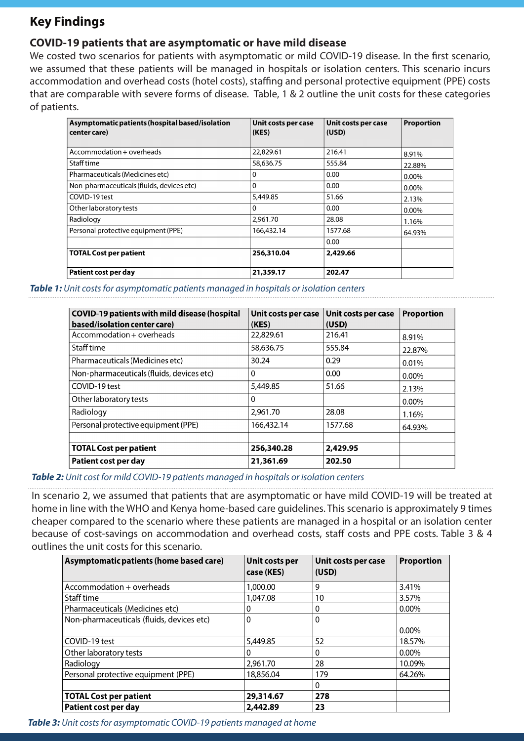# **Key Findings**

### **COVID-19 patients that are asymptomatic or have mild disease**

We costed two scenarios for patients with asymptomatic or mild COVID-19 disease. In the first scenario, we assumed that these patients will be managed in hospitals or isolation centers. This scenario incurs accommodation and overhead costs (hotel costs), staffing and personal protective equipment (PPE) costs that are comparable with severe forms of disease. Table, 1 & 2 outline the unit costs for these categories of patients.

| Asymptomatic patients (hospital based/isolation<br>center care) | Unit costs per case<br>(KES) | Unit costs per case<br>(USD) | <b>Proportion</b> |
|-----------------------------------------------------------------|------------------------------|------------------------------|-------------------|
| Accommodation + overheads                                       | 22,829.61                    | 216.41                       | 8.91%             |
| Staff time                                                      | 58,636.75                    | 555.84                       | 22.88%            |
| Pharmaceuticals (Medicines etc)                                 | 0                            | 0.00                         | $0.00\%$          |
| Non-pharmaceuticals (fluids, devices etc)                       | $\Omega$                     | 0.00                         | 0.00%             |
| COVID-19 test                                                   | 5,449.85                     | 51.66                        | 2.13%             |
| Other laboratory tests                                          | 0                            | 0.00                         | 0.00%             |
| Radiology                                                       | 2,961.70                     | 28.08                        | 1.16%             |
| Personal protective equipment (PPE)                             | 166,432.14                   | 1577.68                      | 64.93%            |
|                                                                 |                              | 0.00                         |                   |
| <b>TOTAL Cost per patient</b>                                   | 256,310.04                   | 2,429.66                     |                   |
| Patient cost per day                                            | 21,359.17                    | 202.47                       |                   |

*Table 1: Unit costs for asymptomatic patients managed in hospitals or isolation centers*

| <b>COVID-19 patients with mild disease (hospital</b> | Unit costs per case | Unit costs per case | <b>Proportion</b> |
|------------------------------------------------------|---------------------|---------------------|-------------------|
| based/isolation center care)                         | (KES)               | (USD)               |                   |
| Accommodation + overheads                            | 22,829.61           | 216.41              | 8.91%             |
| Staff time                                           | 58,636.75           | 555.84              | 22.87%            |
| Pharmaceuticals (Medicines etc)                      | 30.24               | 0.29                | 0.01%             |
| Non-pharmaceuticals (fluids, devices etc)            | $\Omega$            | 0.00                | $0.00\%$          |
| COVID-19 test                                        | 5,449.85            | 51.66               | 2.13%             |
| Other laboratory tests                               | 0                   |                     | $0.00\%$          |
| Radiology                                            | 2,961.70            | 28.08               | 1.16%             |
| Personal protective equipment (PPE)                  | 166,432.14          | 1577.68             | 64.93%            |
|                                                      |                     |                     |                   |
| <b>TOTAL Cost per patient</b>                        | 256,340.28          | 2,429.95            |                   |
| Patient cost per day                                 | 21,361.69           | 202.50              |                   |

*Table 2: Unit cost for mild COVID-19 patients managed in hospitals or isolation centers*

In scenario 2, we assumed that patients that are asymptomatic or have mild COVID-19 will be treated at home in line with the WHO and Kenya home-based care guidelines. This scenario is approximately 9 times cheaper compared to the scenario where these patients are managed in a hospital or an isolation center because of cost-savings on accommodation and overhead costs, staff costs and PPE costs. Table 3 & 4 outlines the unit costs for this scenario.

| Asymptomatic patients (home based care)   | Unit costs per<br>case (KES) | Unit costs per case<br>(USD) | <b>Proportion</b> |
|-------------------------------------------|------------------------------|------------------------------|-------------------|
| Accommodation + overheads                 | 1,000.00                     | 9                            | 3.41%             |
| Staff time                                | 1,047.08                     | 10                           | 3.57%             |
| Pharmaceuticals (Medicines etc)           | 0                            | 0                            | $0.00\%$          |
| Non-pharmaceuticals (fluids, devices etc) | $\mathbf 0$                  | 0                            | $0.00\%$          |
| COVID-19 test                             | 5,449.85                     | 52                           | 18.57%            |
| Other laboratory tests                    | 0                            | 0                            | $0.00\%$          |
| Radiology                                 | 2,961.70                     | 28                           | 10.09%            |
| Personal protective equipment (PPE)       | 18,856.04                    | 179                          | 64.26%            |
|                                           |                              | 0                            |                   |
| <b>TOTAL Cost per patient</b>             | 29,314.67                    | 278                          |                   |
| Patient cost per day                      | 2,442.89                     | 23                           |                   |

*Table 3: Unit costs for asymptomatic COVID-19 patients managed at home*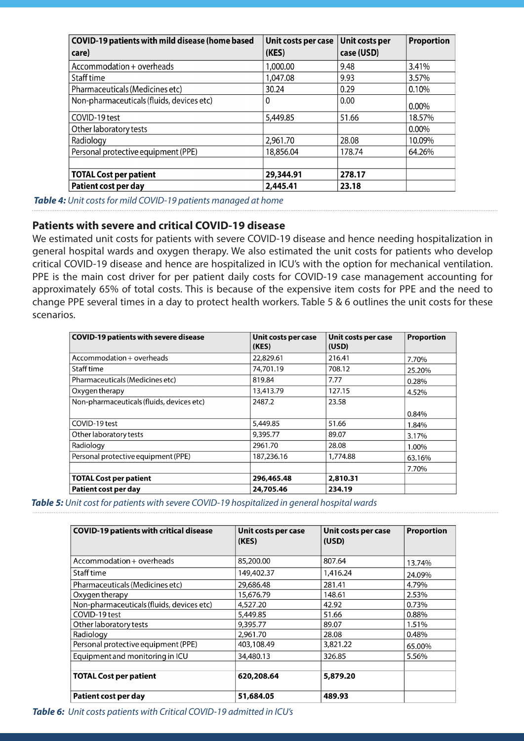| <b>COVID-19 patients with mild disease (home based</b> | Unit costs per case | Unit costs per | <b>Proportion</b> |
|--------------------------------------------------------|---------------------|----------------|-------------------|
| care)                                                  | (KES)               | case (USD)     |                   |
| Accommodation + overheads                              | 1,000.00            | 9.48           | 3.41%             |
| Staff time                                             | 1,047.08            | 9.93           | 3.57%             |
| Pharmaceuticals (Medicines etc)                        | 30.24               | 0.29           | $0.10\%$          |
| Non-pharmaceuticals (fluids, devices etc)              | 0                   | 0.00           | $0.00\%$          |
| COVID-19 test                                          | 5,449.85            | 51.66          | 18.57%            |
| Other laboratory tests                                 |                     |                | $0.00\%$          |
| Radiology                                              | 2,961.70            | 28.08          | 10.09%            |
| Personal protective equipment (PPE)                    | 18,856.04           | 178.74         | 64.26%            |
| <b>TOTAL Cost per patient</b>                          | 29,344.91           | 278.17         |                   |
| Patient cost per day                                   | 2,445.41            | 23.18          |                   |

*Table 4: Unit costs for mild COVID-19 patients managed at home*

#### **Patients with severe and critical COVID-19 disease**

We estimated unit costs for patients with severe COVID-19 disease and hence needing hospitalization in general hospital wards and oxygen therapy. We also estimated the unit costs for patients who develop critical COVID-19 disease and hence are hospitalized in ICU's with the option for mechanical ventilation. PPE is the main cost driver for per patient daily costs for COVID-19 case management accounting for approximately 65% of total costs. This is because of the expensive item costs for PPE and the need to change PPE several times in a day to protect health workers. Table 5 & 6 outlines the unit costs for these scenarios.

| <b>COVID-19 patients with severe disease</b> | Unit costs per case<br>(KES) | Unit costs per case<br>(USD) | <b>Proportion</b> |
|----------------------------------------------|------------------------------|------------------------------|-------------------|
| Accommodation + overheads                    | 22,829.61                    | 216.41                       | 7.70%             |
| Staff time                                   | 74,701.19                    | 708.12                       | 25.20%            |
| Pharmaceuticals (Medicines etc)              | 819.84                       | 7.77                         | 0.28%             |
| Oxygen therapy                               | 13,413.79                    | 127.15                       | 4.52%             |
| Non-pharmaceuticals (fluids, devices etc)    | 2487.2                       | 23.58                        |                   |
|                                              |                              |                              | 0.84%             |
| COVID-19 test                                | 5,449.85                     | 51.66                        | 1.84%             |
| Other laboratory tests                       | 9,395.77                     | 89.07                        | 3.17%             |
| Radiology                                    | 2961.70                      | 28.08                        | 1.00%             |
| Personal protective equipment (PPE)          | 187,236.16                   | 1,774.88                     | 63.16%            |
|                                              |                              |                              | 7.70%             |
| <b>TOTAL Cost per patient</b>                | 296,465.48                   | 2,810.31                     |                   |
| Patient cost per day                         | 24,705.46                    | 234.19                       |                   |

*Table 5: Unit cost for patients with severe COVID-19 hospitalized in general hospital wards*

| <b>COVID-19 patients with critical disease</b> | Unit costs per case<br>(KES) | Unit costs per case<br>(USD) | <b>Proportion</b> |
|------------------------------------------------|------------------------------|------------------------------|-------------------|
| Accommodation + overheads                      | 85,200.00                    | 807.64                       | 13.74%            |
| Staff time                                     | 149,402.37                   | 1,416.24                     | 24.09%            |
| Pharmaceuticals (Medicines etc)                | 29,686.48                    | 281.41                       | 4.79%             |
| Oxygen therapy                                 | 15,676.79                    | 148.61                       | 2.53%             |
| Non-pharmaceuticals (fluids, devices etc)      | 4,527.20                     | 42.92                        | 0.73%             |
| COVID-19 test                                  | 5,449.85                     | 51.66                        | 0.88%             |
| Other laboratory tests                         | 9,395.77                     | 89.07                        | 1.51%             |
| Radiology                                      | 2,961.70                     | 28.08                        | 0.48%             |
| Personal protective equipment (PPE)            | 403,108.49                   | 3,821.22                     | 65.00%            |
| Equipment and monitoring in ICU                | 34,480.13                    | 326.85                       | 5.56%             |
| <b>TOTAL Cost per patient</b>                  | 620,208.64                   | 5,879.20                     |                   |
| Patient cost per day                           | 51,684.05                    | 489.93                       |                   |

*Table 6: Unit costs patients with Critical COVID-19 admitted in ICU's*